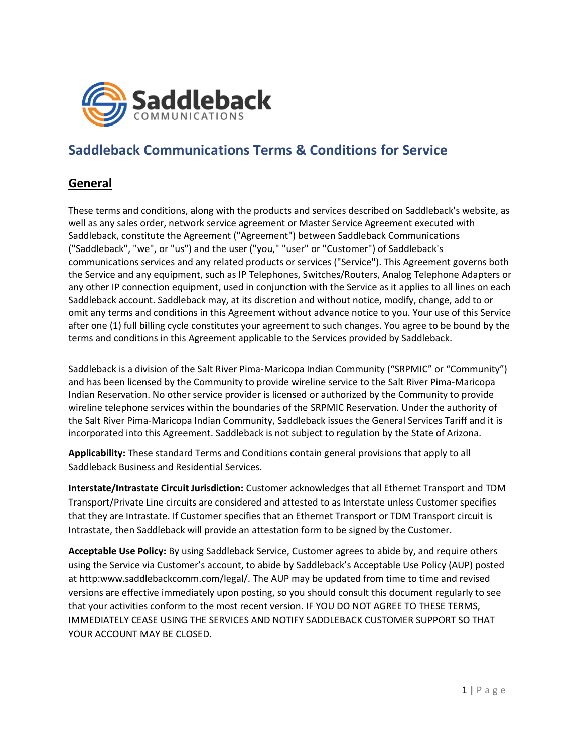

# **Saddleback Communications Terms & Conditions for Service**

## **General**

These terms and conditions, along with the products and services described on Saddleback's website, as well as any sales order, network service agreement or Master Service Agreement executed with Saddleback, constitute the Agreement ("Agreement") between Saddleback Communications ("Saddleback", "we", or "us") and the user ("you," "user" or "Customer") of Saddleback's communications services and any related products or services ("Service"). This Agreement governs both the Service and any equipment, such as IP Telephones, Switches/Routers, Analog Telephone Adapters or any other IP connection equipment, used in conjunction with the Service as it applies to all lines on each Saddleback account. Saddleback may, at its discretion and without notice, modify, change, add to or omit any terms and conditions in this Agreement without advance notice to you. Your use of this Service after one (1) full billing cycle constitutes your agreement to such changes. You agree to be bound by the terms and conditions in this Agreement applicable to the Services provided by Saddleback.

Saddleback is a division of the Salt River Pima-Maricopa Indian Community ("SRPMIC" or "Community") and has been licensed by the Community to provide wireline service to the Salt River Pima-Maricopa Indian Reservation. No other service provider is licensed or authorized by the Community to provide wireline telephone services within the boundaries of the SRPMIC Reservation. Under the authority of the Salt River Pima-Maricopa Indian Community, Saddleback issues the General Services Tariff and it is incorporated into this Agreement. Saddleback is not subject to regulation by the State of Arizona.

**Applicability:** These standard Terms and Conditions contain general provisions that apply to all Saddleback Business and Residential Services.

**Interstate/Intrastate Circuit Jurisdiction:** Customer acknowledges that all Ethernet Transport and TDM Transport/Private Line circuits are considered and attested to as Interstate unless Customer specifies that they are Intrastate. If Customer specifies that an Ethernet Transport or TDM Transport circuit is Intrastate, then Saddleback will provide an attestation form to be signed by the Customer.

**Acceptable Use Policy:** By using Saddleback Service, Customer agrees to abide by, and require others using the Service via Customer's account, to abide by Saddleback's Acceptable Use Policy (AUP) posted at ht[tp:www.saddlebackcomm.com/legal/.](http://www.saddlebackcomm.com/legal/) The AUP may be updated from time to time and revised versions are effective immediately upon posting, so you should consult this document regularly to see that your activities conform to the most recent version. IF YOU DO NOT AGREE TO THESE TERMS, IMMEDIATELY CEASE USING THE SERVICES AND NOTIFY SADDLEBACK CUSTOMER SUPPORT SO THAT YOUR ACCOUNT MAY BE CLOSED.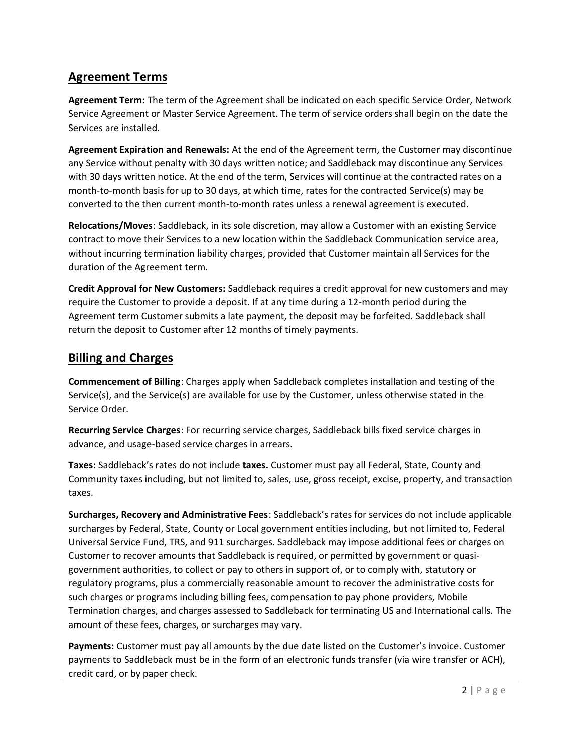# **Agreement Terms**

**Agreement Term:** The term of the Agreement shall be indicated on each specific Service Order, Network Service Agreement or Master Service Agreement. The term of service orders shall begin on the date the Services are installed.

**Agreement Expiration and Renewals:** At the end of the Agreement term, the Customer may discontinue any Service without penalty with 30 days written notice; and Saddleback may discontinue any Services with 30 days written notice. At the end of the term, Services will continue at the contracted rates on a month-to-month basis for up to 30 days, at which time, rates for the contracted Service(s) may be converted to the then current month-to-month rates unless a renewal agreement is executed.

**Relocations/Moves**: Saddleback, in its sole discretion, may allow a Customer with an existing Service contract to move their Services to a new location within the Saddleback Communication service area, without incurring termination liability charges, provided that Customer maintain all Services for the duration of the Agreement term.

**Credit Approval for New Customers:** Saddleback requires a credit approval for new customers and may require the Customer to provide a deposit. If at any time during a 12-month period during the Agreement term Customer submits a late payment, the deposit may be forfeited. Saddleback shall return the deposit to Customer after 12 months of timely payments.

# **Billing and Charges**

**Commencement of Billing**: Charges apply when Saddleback completes installation and testing of the Service(s), and the Service(s) are available for use by the Customer, unless otherwise stated in the Service Order.

**Recurring Service Charges**: For recurring service charges, Saddleback bills fixed service charges in advance, and usage-based service charges in arrears.

**Taxes:** Saddleback's rates do not include **taxes.** Customer must pay all Federal, State, County and Community taxes including, but not limited to, sales, use, gross receipt, excise, property, and transaction taxes.

**Surcharges, Recovery and Administrative Fees**: Saddleback's rates for services do not include applicable surcharges by Federal, State, County or Local government entities including, but not limited to, Federal Universal Service Fund, TRS, and 911 surcharges. Saddleback may impose additional fees or charges on Customer to recover amounts that Saddleback is required, or permitted by government or quasigovernment authorities, to collect or pay to others in support of, or to comply with, statutory or regulatory programs, plus a commercially reasonable amount to recover the administrative costs for such charges or programs including billing fees, compensation to pay phone providers, Mobile Termination charges, and charges assessed to Saddleback for terminating US and International calls. The amount of these fees, charges, or surcharges may vary.

**Payments:** Customer must pay all amounts by the due date listed on the Customer's invoice. Customer payments to Saddleback must be in the form of an electronic funds transfer (via wire transfer or ACH), credit card, or by paper check.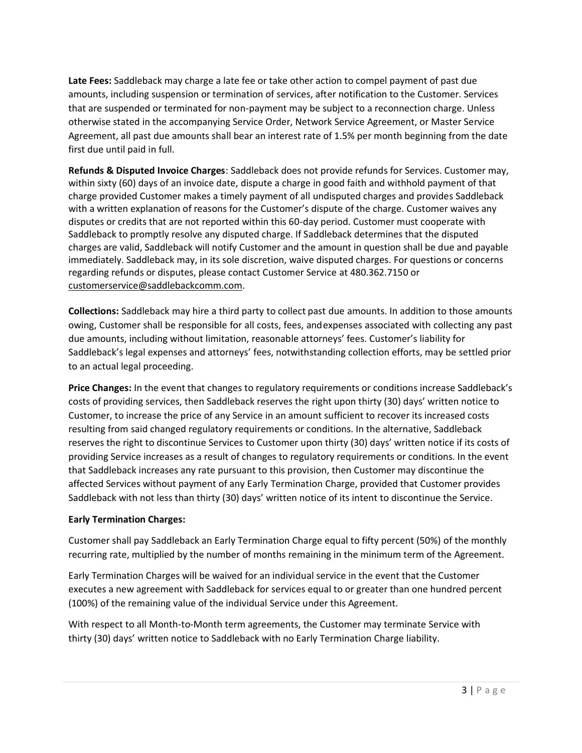**Late Fees:** Saddleback may charge a late fee or take other action to compel payment of past due amounts, including suspension or termination of services, after notification to the Customer. Services that are suspended or terminated for non-payment may be subject to a reconnection charge. Unless otherwise stated in the accompanying Service Order, Network Service Agreement, or Master Service Agreement, all past due amounts shall bear an interest rate of 1.5% per month beginning from the date first due until paid in full.

**Refunds & Disputed Invoice Charges**: Saddleback does not provide refunds for Services. Customer may, within sixty (60) days of an invoice date, dispute a charge in good faith and withhold payment of that charge provided Customer makes a timely payment of all undisputed charges and provides Saddleback with a written explanation of reasons for the Customer's dispute of the charge. Customer waives any disputes or credits that are not reported within this 60-day period. Customer must cooperate with Saddleback to promptly resolve any disputed charge. If Saddleback determines that the disputed charges are valid, Saddleback will notify Customer and the amount in question shall be due and payable immediately. Saddleback may, in its sole discretion, waive disputed charges. For questions or concerns regarding refunds or disputes, please contact Customer Service at 480.362.7150 or [customerservice@saddlebackcomm.com.](mailto:customerservice@saddlebackcomm.com)

**Collections:** Saddleback may hire a third party to collect past due amounts. In addition to those amounts owing, Customer shall be responsible for all costs, fees, andexpenses associated with collecting any past due amounts, including without limitation, reasonable attorneys' fees. Customer's liability for Saddleback's legal expenses and attorneys' fees, notwithstanding collection efforts, may be settled prior to an actual legal proceeding.

**Price Changes:** In the event that changes to regulatory requirements or conditions increase Saddleback's costs of providing services, then Saddleback reserves the right upon thirty (30) days' written notice to Customer, to increase the price of any Service in an amount sufficient to recover its increased costs resulting from said changed regulatory requirements or conditions. In the alternative, Saddleback reserves the right to discontinue Services to Customer upon thirty (30) days' written notice if its costs of providing Service increases as a result of changes to regulatory requirements or conditions. In the event that Saddleback increases any rate pursuant to this provision, then Customer may discontinue the affected Services without payment of any Early Termination Charge, provided that Customer provides Saddleback with not less than thirty (30) days' written notice of its intent to discontinue the Service.

#### **Early Termination Charges:**

Customer shall pay Saddleback an Early Termination Charge equal to fifty percent (50%) of the monthly recurring rate, multiplied by the number of months remaining in the minimum term of the Agreement.

Early Termination Charges will be waived for an individual service in the event that the Customer executes a new agreement with Saddleback for services equal to or greater than one hundred percent (100%) of the remaining value of the individual Service under this Agreement.

With respect to all Month-to-Month term agreements, the Customer may terminate Service with thirty (30) days' written notice to Saddleback with no Early Termination Charge liability.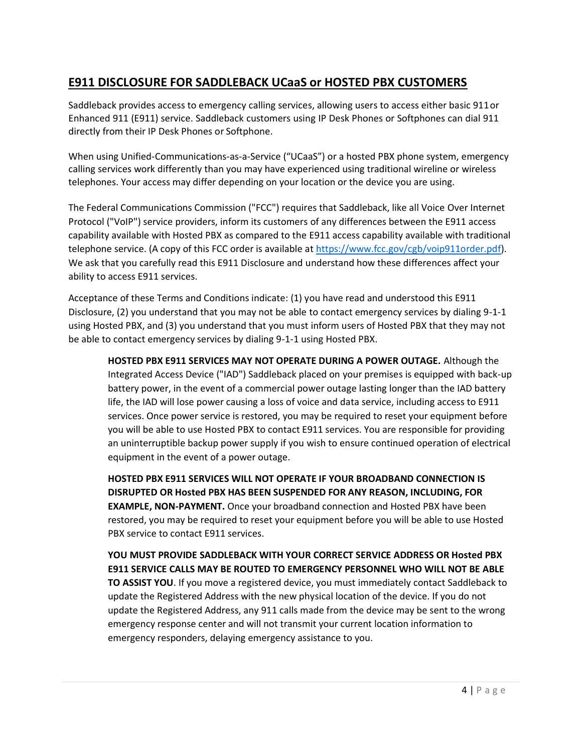# **E911 DISCLOSURE FOR SADDLEBACK UCaaS or HOSTED PBX CUSTOMERS**

Saddleback provides access to emergency calling services, allowing users to access either basic 911or Enhanced 911 (E911) service. Saddleback customers using IP Desk Phones or Softphones can dial 911 directly from their IP Desk Phones or Softphone.

When using Unified-Communications-as-a-Service ("UCaaS") or a hosted PBX phone system, emergency calling services work differently than you may have experienced using traditional wireline or wireless telephones. Your access may differ depending on your location or the device you are using.

The Federal Communications Commission ("FCC") requires that Saddleback, like all Voice Over Internet Protocol ("VoIP") service providers, inform its customers of any differences between the E911 access capability available with Hosted PBX as compared to the E911 access capability available with traditional telephone service. (A copy of this FCC order is available a[t https://www.fcc.gov/cgb/voip911order.pdf\)](https://www.fcc.gov/cgb/voip911order.pdf). We ask that you carefully read this E911 Disclosure and understand how these differences affect your ability to access E911 services.

Acceptance of these Terms and Conditions indicate: (1) you have read and understood this E911 Disclosure, (2) you understand that you may not be able to contact emergency services by dialing 9-1-1 using Hosted PBX, and (3) you understand that you must inform users of Hosted PBX that they may not be able to contact emergency services by dialing 9-1-1 using Hosted PBX.

**HOSTED PBX E911 SERVICES MAY NOT OPERATE DURING A POWER OUTAGE.** Although the Integrated Access Device ("IAD") Saddleback placed on your premises is equipped with back-up battery power, in the event of a commercial power outage lasting longer than the IAD battery life, the IAD will lose power causing a loss of voice and data service, including access to E911 services. Once power service is restored, you may be required to reset your equipment before you will be able to use Hosted PBX to contact E911 services. You are responsible for providing an uninterruptible backup power supply if you wish to ensure continued operation of electrical equipment in the event of a power outage.

**HOSTED PBX E911 SERVICES WILL NOT OPERATE IF YOUR BROADBAND CONNECTION IS DISRUPTED OR Hosted PBX HAS BEEN SUSPENDED FOR ANY REASON, INCLUDING, FOR EXAMPLE, NON-PAYMENT.** Once your broadband connection and Hosted PBX have been restored, you may be required to reset your equipment before you will be able to use Hosted PBX service to contact E911 services.

**YOU MUST PROVIDE SADDLEBACK WITH YOUR CORRECT SERVICE ADDRESS OR Hosted PBX E911 SERVICE CALLS MAY BE ROUTED TO EMERGENCY PERSONNEL WHO WILL NOT BE ABLE TO ASSIST YOU**. If you move a registered device, you must immediately contact Saddleback to update the Registered Address with the new physical location of the device. If you do not update the Registered Address, any 911 calls made from the device may be sent to the wrong emergency response center and will not transmit your current location information to emergency responders, delaying emergency assistance to you.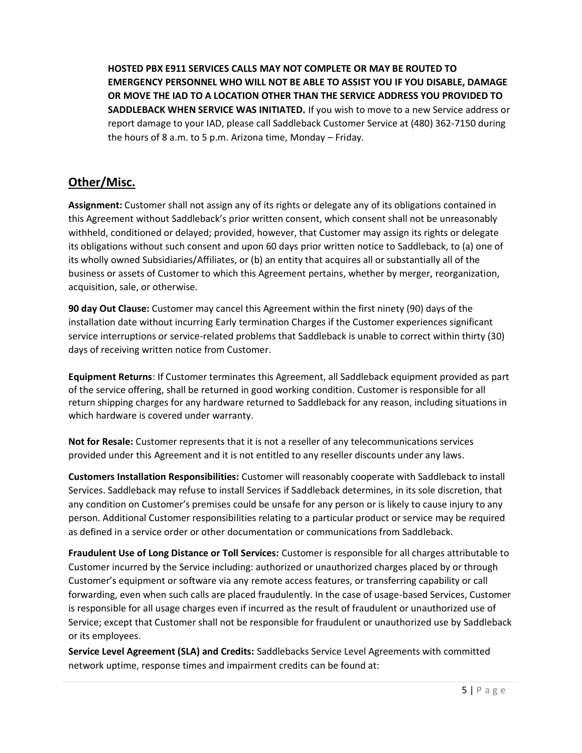**HOSTED PBX E911 SERVICES CALLS MAY NOT COMPLETE OR MAY BE ROUTED TO EMERGENCY PERSONNEL WHO WILL NOT BE ABLE TO ASSIST YOU IF YOU DISABLE, DAMAGE OR MOVE THE IAD TO A LOCATION OTHER THAN THE SERVICE ADDRESS YOU PROVIDED TO SADDLEBACK WHEN SERVICE WAS INITIATED.** If you wish to move to a new Service address or report damage to your IAD, please call Saddleback Customer Service at (480) 362-7150 during the hours of 8 a.m. to 5 p.m. Arizona time, Monday – Friday.

## **Other/Misc.**

**Assignment:** Customer shall not assign any of its rights or delegate any of its obligations contained in this Agreement without Saddleback's prior written consent, which consent shall not be unreasonably withheld, conditioned or delayed; provided, however, that Customer may assign its rights or delegate its obligations without such consent and upon 60 days prior written notice to Saddleback, to (a) one of its wholly owned Subsidiaries/Affiliates, or (b) an entity that acquires all or substantially all of the business or assets of Customer to which this Agreement pertains, whether by merger, reorganization, acquisition, sale, or otherwise.

**90 day Out Clause:** Customer may cancel this Agreement within the first ninety (90) days of the installation date without incurring Early termination Charges if the Customer experiences significant service interruptions or service-related problems that Saddleback is unable to correct within thirty (30) days of receiving written notice from Customer.

**Equipment Returns**: If Customer terminates this Agreement, all Saddleback equipment provided as part of the service offering, shall be returned in good working condition. Customer is responsible for all return shipping charges for any hardware returned to Saddleback for any reason, including situations in which hardware is covered under warranty.

**Not for Resale:** Customer represents that it is not a reseller of any telecommunications services provided under this Agreement and it is not entitled to any reseller discounts under any laws.

**Customers Installation Responsibilities:** Customer will reasonably cooperate with Saddleback to install Services. Saddleback may refuse to install Services if Saddleback determines, in its sole discretion, that any condition on Customer's premises could be unsafe for any person or is likely to cause injury to any person. Additional Customer responsibilities relating to a particular product or service may be required as defined in a service order or other documentation or communications from Saddleback.

**Fraudulent Use of Long Distance or Toll Services:** Customer is responsible for all charges attributable to Customer incurred by the Service including: authorized or unauthorized charges placed by or through Customer's equipment or software via any remote access features, or transferring capability or call forwarding, even when such calls are placed fraudulently. In the case of usage-based Services, Customer is responsible for all usage charges even if incurred as the result of fraudulent or unauthorized use of Service; except that Customer shall not be responsible for fraudulent or unauthorized use by Saddleback or its employees.

**Service Level Agreement (SLA) and Credits:** Saddlebacks Service Level Agreements with committed network uptime, response times and impairment credits can be found at: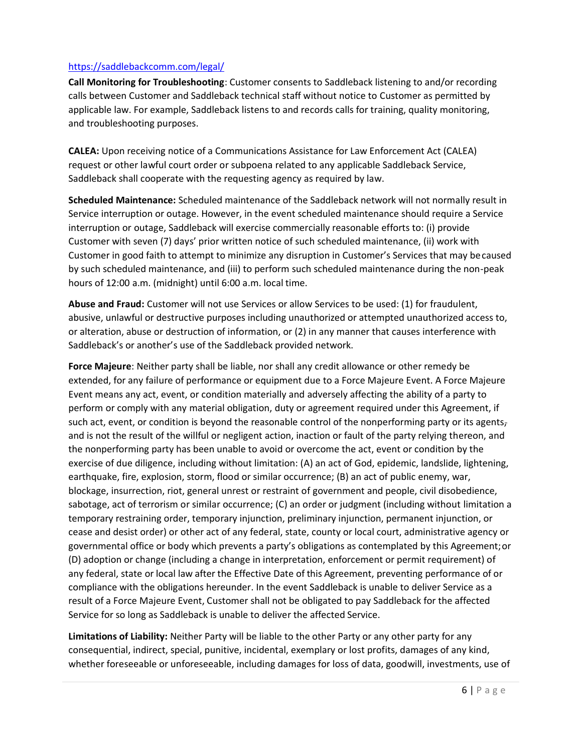#### <https://saddlebackcomm.com/legal/>

**Call Monitoring for Troubleshooting**: Customer consents to Saddleback listening to and/or recording calls between Customer and Saddleback technical staff without notice to Customer as permitted by applicable law. For example, Saddleback listens to and records calls for training, quality monitoring, and troubleshooting purposes.

**CALEA:** Upon receiving notice of a Communications Assistance for Law Enforcement Act (CALEA) request or other lawful court order or subpoena related to any applicable Saddleback Service, Saddleback shall cooperate with the requesting agency as required by law.

**Scheduled Maintenance:** Scheduled maintenance of the Saddleback network will not normally result in Service interruption or outage. However, in the event scheduled maintenance should require a Service interruption or outage, Saddleback will exercise commercially reasonable efforts to: (i) provide Customer with seven (7) days' prior written notice of such scheduled maintenance, (ii) work with Customer in good faith to attempt to minimize any disruption in Customer's Services that may becaused by such scheduled maintenance, and (iii) to perform such scheduled maintenance during the non-peak hours of 12:00 a.m. (midnight) until 6:00 a.m. local time.

**Abuse and Fraud:** Customer will not use Services or allow Services to be used: (1) for fraudulent, abusive, unlawful or destructive purposes including unauthorized or attempted unauthorized access to, or alteration, abuse or destruction of information, or (2) in any manner that causes interference with Saddleback's or another's use of the Saddleback provided network.

**Force Majeure**: Neither party shall be liable, nor shall any credit allowance or other remedy be extended, for any failure of performance or equipment due to a Force Majeure Event. A Force Majeure Event means any act, event, or condition materially and adversely affecting the ability of a party to perform or comply with any material obligation, duty or agreement required under this Agreement, if such act, event, or condition is beyond the reasonable control of the nonperforming party or its agents, and is not the result of the willful or negligent action, inaction or fault of the party relying thereon, and the nonperforming party has been unable to avoid or overcome the act, event or condition by the exercise of due diligence, including without limitation: (A) an act of God, epidemic, landslide, lightening, earthquake, fire, explosion, storm, flood or similar occurrence; (B) an act of public enemy, war, blockage, insurrection, riot, general unrest or restraint of government and people, civil disobedience, sabotage, act of terrorism or similar occurrence; (C) an order or judgment (including without limitation a temporary restraining order, temporary injunction, preliminary injunction, permanent injunction, or cease and desist order) or other act of any federal, state, county or local court, administrative agency or governmental office or body which prevents a party's obligations as contemplated by this Agreement;or (D) adoption or change (including a change in interpretation, enforcement or permit requirement) of any federal, state or local law after the Effective Date of this Agreement, preventing performance of or compliance with the obligations hereunder. In the event Saddleback is unable to deliver Service as a result of a Force Majeure Event, Customer shall not be obligated to pay Saddleback for the affected Service for so long as Saddleback is unable to deliver the affected Service.

**Limitations of Liability:** Neither Party will be liable to the other Party or any other party for any consequential, indirect, special, punitive, incidental, exemplary or lost profits, damages of any kind, whether foreseeable or unforeseeable, including damages for loss of data, goodwill, investments, use of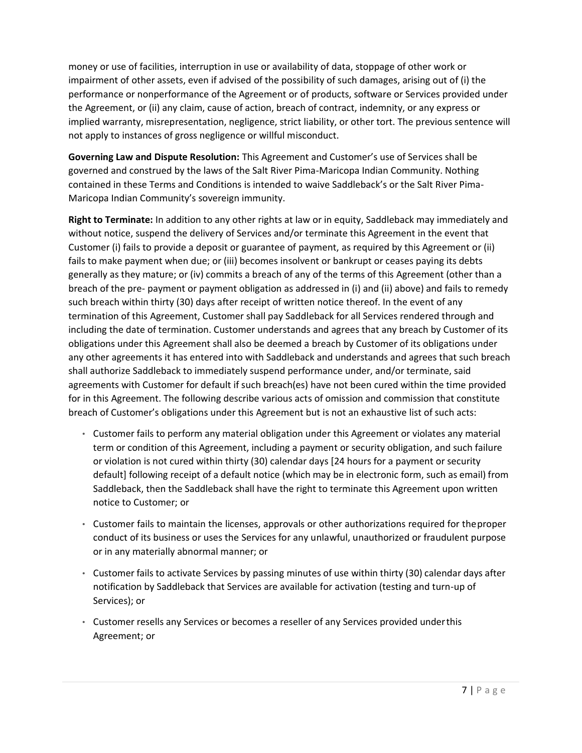money or use of facilities, interruption in use or availability of data, stoppage of other work or impairment of other assets, even if advised of the possibility of such damages, arising out of (i) the performance or nonperformance of the Agreement or of products, software or Services provided under the Agreement, or (ii) any claim, cause of action, breach of contract, indemnity, or any express or implied warranty, misrepresentation, negligence, strict liability, or other tort. The previous sentence will not apply to instances of gross negligence or willful misconduct.

**Governing Law and Dispute Resolution:** This Agreement and Customer's use of Services shall be governed and construed by the laws of the Salt River Pima-Maricopa Indian Community. Nothing contained in these Terms and Conditions is intended to waive Saddleback's or the Salt River Pima-Maricopa Indian Community's sovereign immunity.

**Right to Terminate:** In addition to any other rights at law or in equity, Saddleback may immediately and without notice, suspend the delivery of Services and/or terminate this Agreement in the event that Customer (i) fails to provide a deposit or guarantee of payment, as required by this Agreement or (ii) fails to make payment when due; or (iii) becomes insolvent or bankrupt or ceases paying its debts generally as they mature; or (iv) commits a breach of any of the terms of this Agreement (other than a breach of the pre- payment or payment obligation as addressed in (i) and (ii) above) and fails to remedy such breach within thirty (30) days after receipt of written notice thereof. In the event of any termination of this Agreement, Customer shall pay Saddleback for all Services rendered through and including the date of termination. Customer understands and agrees that any breach by Customer of its obligations under this Agreement shall also be deemed a breach by Customer of its obligations under any other agreements it has entered into with Saddleback and understands and agrees that such breach shall authorize Saddleback to immediately suspend performance under, and/or terminate, said agreements with Customer for default if such breach(es) have not been cured within the time provided for in this Agreement. The following describe various acts of omission and commission that constitute breach of Customer's obligations under this Agreement but is not an exhaustive list of such acts:

- Customer fails to perform any material obligation under this Agreement or violates any material term or condition of this Agreement, including a payment or security obligation, and such failure or violation is not cured within thirty (30) calendar days [24 hours for a payment or security default] following receipt of a default notice (which may be in electronic form, such as email) from Saddleback, then the Saddleback shall have the right to terminate this Agreement upon written notice to Customer; or
- Customer fails to maintain the licenses, approvals or other authorizations required for theproper conduct of its business or uses the Services for any unlawful, unauthorized or fraudulent purpose or in any materially abnormal manner; or
- Customer fails to activate Services by passing minutes of use within thirty (30) calendar days after notification by Saddleback that Services are available for activation (testing and turn-up of Services); or
- Customer resells any Services or becomes a reseller of any Services provided underthis Agreement; or